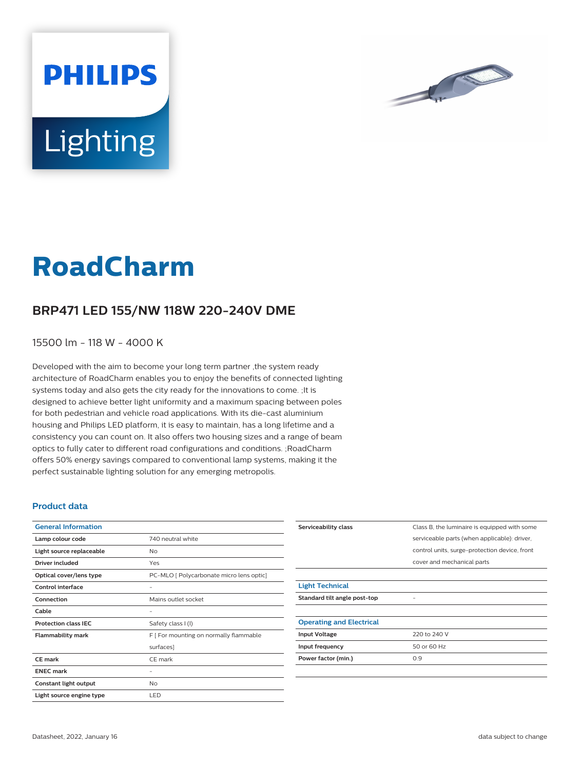

# **Lighting**

**PHILIPS** 

# **RoadCharm**

## **BRP471 LED 155/NW 118W 220-240V DME**

15500 lm - 118 W - 4000 K

Developed with the aim to become your long term partner ,the system ready architecture of RoadCharm enables you to enjoy the benefits of connected lighting systems today and also gets the city ready for the innovations to come. ;It is designed to achieve better light uniformity and a maximum spacing between poles for both pedestrian and vehicle road applications. With its die-cast aluminium housing and Philips LED platform, it is easy to maintain, has a long lifetime and a consistency you can count on. It also offers two housing sizes and a range of beam optics to fully cater to different road configurations and conditions. ;RoadCharm offers 50% energy savings compared to conventional lamp systems, making it the perfect sustainable lighting solution for any emerging metropolis.

#### **Product data**

| <b>General Information</b>  |                                          |
|-----------------------------|------------------------------------------|
| Lamp colour code            | 740 neutral white                        |
| Light source replaceable    | No                                       |
| <b>Driver included</b>      | Yes                                      |
| Optical cover/lens type     | PC-MLO [ Polycarbonate micro lens optic] |
| Control interface           |                                          |
| Connection                  | Mains outlet socket                      |
| Cable                       | -                                        |
| <b>Protection class IEC</b> | Safety class I (I)                       |
| <b>Flammability mark</b>    | F [ For mounting on normally flammable   |
|                             | surfaces]                                |
| CE mark                     | CE mark                                  |
| <b>ENEC mark</b>            |                                          |
| Constant light output       | No                                       |
| Light source engine type    | LED                                      |

| Serviceability class            | Class B, the luminaire is equipped with some  |
|---------------------------------|-----------------------------------------------|
|                                 | serviceable parts (when applicable): driver,  |
|                                 | control units, surge-protection device, front |
|                                 | cover and mechanical parts                    |
|                                 |                                               |
| <b>Light Technical</b>          |                                               |
| Standard tilt angle post-top    |                                               |
|                                 |                                               |
| <b>Operating and Electrical</b> |                                               |
| <b>Input Voltage</b>            | 220 to 240 V                                  |
| Input frequency                 | 50 or 60 Hz                                   |
| Power factor (min.)             | 0.9                                           |
|                                 |                                               |